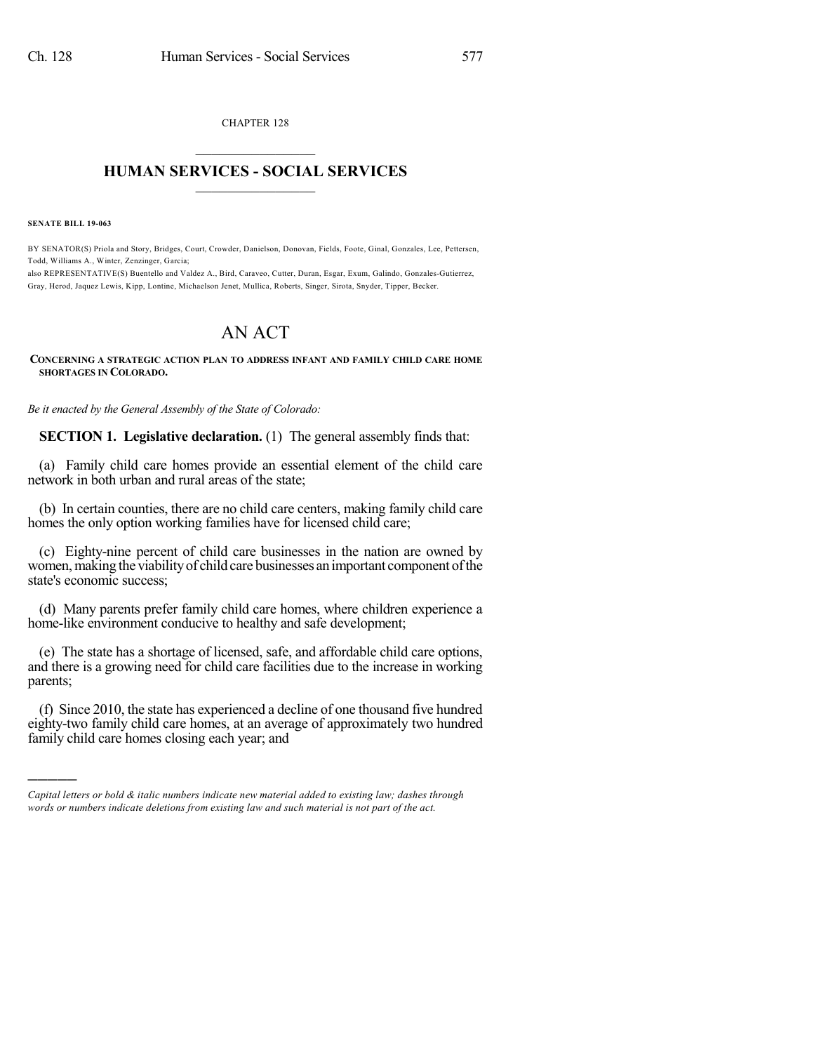CHAPTER 128  $\mathcal{L}_\text{max}$  . The set of the set of the set of the set of the set of the set of the set of the set of the set of the set of the set of the set of the set of the set of the set of the set of the set of the set of the set

## **HUMAN SERVICES - SOCIAL SERVICES**  $\frac{1}{2}$  ,  $\frac{1}{2}$  ,  $\frac{1}{2}$  ,  $\frac{1}{2}$  ,  $\frac{1}{2}$  ,  $\frac{1}{2}$

**SENATE BILL 19-063**

)))))

BY SENATOR(S) Priola and Story, Bridges, Court, Crowder, Danielson, Donovan, Fields, Foote, Ginal, Gonzales, Lee, Pettersen, Todd, Williams A., Winter, Zenzinger, Garcia;

also REPRESENTATIVE(S) Buentello and Valdez A., Bird, Caraveo, Cutter, Duran, Esgar, Exum, Galindo, Gonzales-Gutierrez, Gray, Herod, Jaquez Lewis, Kipp, Lontine, Michaelson Jenet, Mullica, Roberts, Singer, Sirota, Snyder, Tipper, Becker.

## AN ACT

## **CONCERNING A STRATEGIC ACTION PLAN TO ADDRESS INFANT AND FAMILY CHILD CARE HOME SHORTAGES IN COLORADO.**

*Be it enacted by the General Assembly of the State of Colorado:*

**SECTION 1. Legislative declaration.** (1) The general assembly finds that:

(a) Family child care homes provide an essential element of the child care network in both urban and rural areas of the state;

(b) In certain counties, there are no child care centers, making family child care homes the only option working families have for licensed child care;

(c) Eighty-nine percent of child care businesses in the nation are owned by women, making the viability of child care businesses an important component of the state's economic success;

(d) Many parents prefer family child care homes, where children experience a home-like environment conducive to healthy and safe development;

(e) The state has a shortage of licensed, safe, and affordable child care options, and there is a growing need for child care facilities due to the increase in working parents;

(f) Since 2010, the state has experienced a decline of one thousand five hundred eighty-two family child care homes, at an average of approximately two hundred family child care homes closing each year; and

*Capital letters or bold & italic numbers indicate new material added to existing law; dashes through words or numbers indicate deletions from existing law and such material is not part of the act.*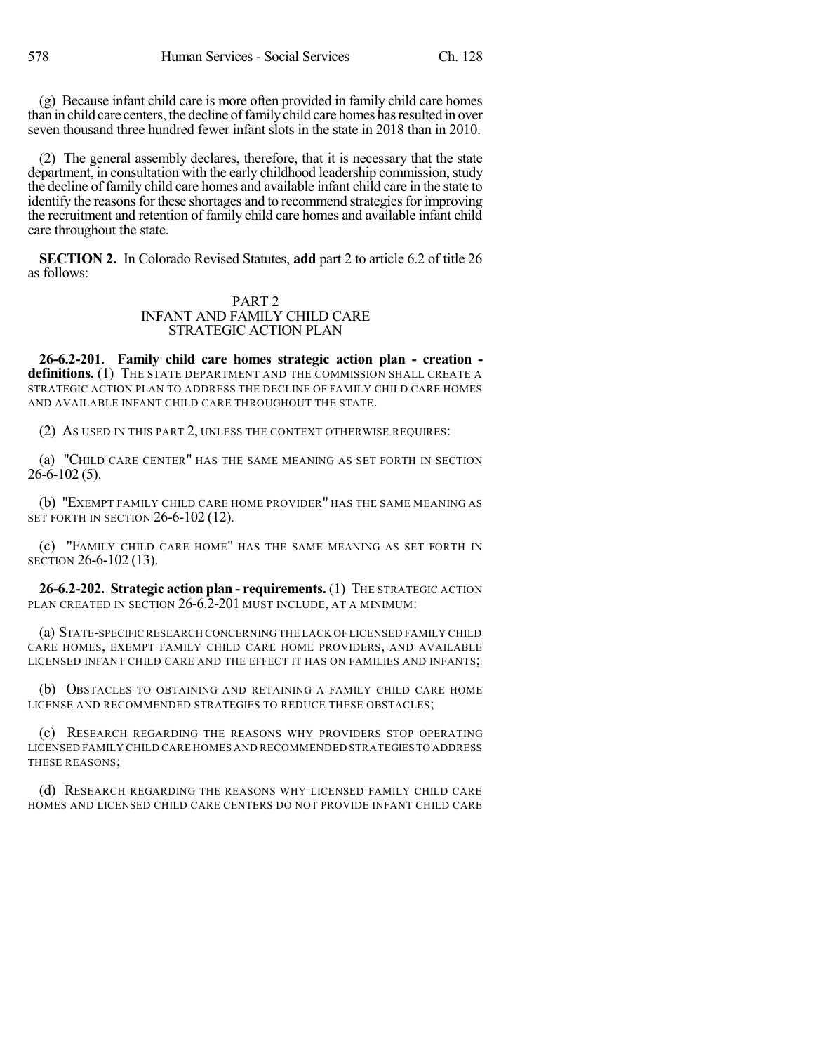(g) Because infant child care is more often provided in family child care homes than in child care centers, the decline offamilychild care homes hasresulted in over seven thousand three hundred fewer infant slots in the state in 2018 than in 2010.

(2) The general assembly declares, therefore, that it is necessary that the state department, in consultation with the early childhood leadership commission, study the decline of family child care homes and available infant child care in the state to identify the reasons for these shortages and to recommend strategies for improving the recruitment and retention of family child care homes and available infant child care throughout the state.

**SECTION 2.** In Colorado Revised Statutes, **add** part 2 to article 6.2 of title 26 as follows:

## PART 2 INFANT AND FAMILY CHILD CARE STRATEGIC ACTION PLAN

**26-6.2-201. Family child care homes strategic action plan - creation definitions.** (1) THE STATE DEPARTMENT AND THE COMMISSION SHALL CREATE A STRATEGIC ACTION PLAN TO ADDRESS THE DECLINE OF FAMILY CHILD CARE HOMES AND AVAILABLE INFANT CHILD CARE THROUGHOUT THE STATE.

(2) AS USED IN THIS PART 2, UNLESS THE CONTEXT OTHERWISE REQUIRES:

(a) "CHILD CARE CENTER" HAS THE SAME MEANING AS SET FORTH IN SECTION  $26-6-102(5)$ .

(b) "EXEMPT FAMILY CHILD CARE HOME PROVIDER" HAS THE SAME MEANING AS SET FORTH IN SECTION 26-6-102 (12).

(c) "FAMILY CHILD CARE HOME" HAS THE SAME MEANING AS SET FORTH IN SECTION 26-6-102 (13).

**26-6.2-202. Strategic action plan - requirements.** (1) THE STRATEGIC ACTION PLAN CREATED IN SECTION 26-6.2-201 MUST INCLUDE, AT A MINIMUM:

(a) STATE-SPECIFIC RESEARCH CONCERNING THE LACK OF LICENSED FAMILY CHILD CARE HOMES, EXEMPT FAMILY CHILD CARE HOME PROVIDERS, AND AVAILABLE LICENSED INFANT CHILD CARE AND THE EFFECT IT HAS ON FAMILIES AND INFANTS;

(b) OBSTACLES TO OBTAINING AND RETAINING A FAMILY CHILD CARE HOME LICENSE AND RECOMMENDED STRATEGIES TO REDUCE THESE OBSTACLES;

(c) RESEARCH REGARDING THE REASONS WHY PROVIDERS STOP OPERATING LICENSED FAMILY CHILD CARE HOMES AND RECOMMENDED STRATEGIES TO ADDRESS THESE REASONS;

(d) RESEARCH REGARDING THE REASONS WHY LICENSED FAMILY CHILD CARE HOMES AND LICENSED CHILD CARE CENTERS DO NOT PROVIDE INFANT CHILD CARE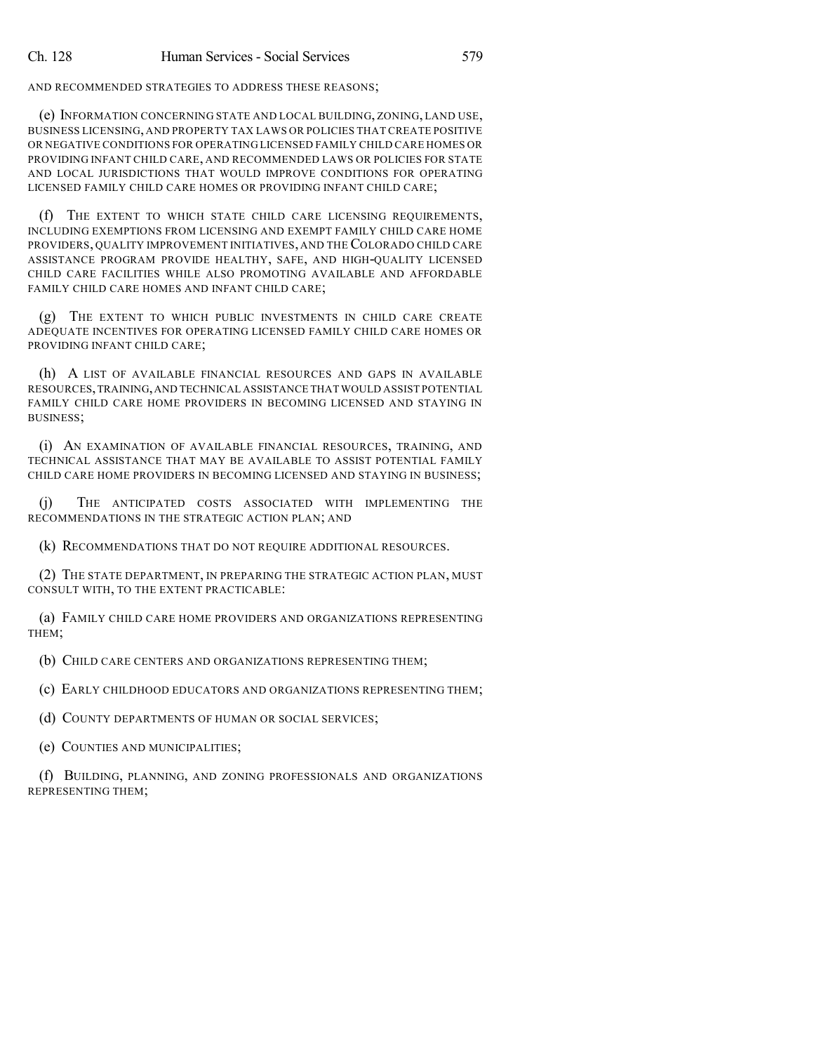AND RECOMMENDED STRATEGIES TO ADDRESS THESE REASONS;

(e) INFORMATION CONCERNING STATE AND LOCAL BUILDING, ZONING, LAND USE, BUSINESS LICENSING, AND PROPERTY TAX LAWS OR POLICIES THAT CREATE POSITIVE OR NEGATIVE CONDITIONS FOR OPERATING LICENSED FAMILY CHILD CARE HOMES OR PROVIDING INFANT CHILD CARE, AND RECOMMENDED LAWS OR POLICIES FOR STATE AND LOCAL JURISDICTIONS THAT WOULD IMPROVE CONDITIONS FOR OPERATING LICENSED FAMILY CHILD CARE HOMES OR PROVIDING INFANT CHILD CARE;

(f) THE EXTENT TO WHICH STATE CHILD CARE LICENSING REQUIREMENTS, INCLUDING EXEMPTIONS FROM LICENSING AND EXEMPT FAMILY CHILD CARE HOME PROVIDERS, QUALITY IMPROVEMENT INITIATIVES, AND THE COLORADO CHILD CARE ASSISTANCE PROGRAM PROVIDE HEALTHY, SAFE, AND HIGH-QUALITY LICENSED CHILD CARE FACILITIES WHILE ALSO PROMOTING AVAILABLE AND AFFORDABLE FAMILY CHILD CARE HOMES AND INFANT CHILD CARE;

(g) THE EXTENT TO WHICH PUBLIC INVESTMENTS IN CHILD CARE CREATE ADEQUATE INCENTIVES FOR OPERATING LICENSED FAMILY CHILD CARE HOMES OR PROVIDING INFANT CHILD CARE;

(h) A LIST OF AVAILABLE FINANCIAL RESOURCES AND GAPS IN AVAILABLE RESOURCES,TRAINING,AND TECHNICAL ASSISTANCE THAT WOULD ASSIST POTENTIAL FAMILY CHILD CARE HOME PROVIDERS IN BECOMING LICENSED AND STAYING IN BUSINESS;

(i) AN EXAMINATION OF AVAILABLE FINANCIAL RESOURCES, TRAINING, AND TECHNICAL ASSISTANCE THAT MAY BE AVAILABLE TO ASSIST POTENTIAL FAMILY CHILD CARE HOME PROVIDERS IN BECOMING LICENSED AND STAYING IN BUSINESS;

(j) THE ANTICIPATED COSTS ASSOCIATED WITH IMPLEMENTING THE RECOMMENDATIONS IN THE STRATEGIC ACTION PLAN; AND

(k) RECOMMENDATIONS THAT DO NOT REQUIRE ADDITIONAL RESOURCES.

(2) THE STATE DEPARTMENT, IN PREPARING THE STRATEGIC ACTION PLAN, MUST CONSULT WITH, TO THE EXTENT PRACTICABLE:

(a) FAMILY CHILD CARE HOME PROVIDERS AND ORGANIZATIONS REPRESENTING THEM;

(b) CHILD CARE CENTERS AND ORGANIZATIONS REPRESENTING THEM;

(c) EARLY CHILDHOOD EDUCATORS AND ORGANIZATIONS REPRESENTING THEM;

(d) COUNTY DEPARTMENTS OF HUMAN OR SOCIAL SERVICES;

(e) COUNTIES AND MUNICIPALITIES;

(f) BUILDING, PLANNING, AND ZONING PROFESSIONALS AND ORGANIZATIONS REPRESENTING THEM;